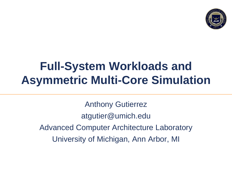

## **Full-System Workloads and Asymmetric Multi-Core Simulation**

Anthony Gutierrez atgutier@umich.edu Advanced Computer Architecture Laboratory University of Michigan, Ann Arbor, MI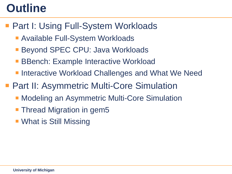## **Outline**

- Part I: Using Full-System Workloads
	- **Available Full-System Workloads**
	- **Beyond SPEC CPU: Java Workloads**
	- **BBench: Example Interactive Workload**
	- **Interactive Workload Challenges and What We Need**
- Part II: Asymmetric Multi-Core Simulation
	- **Modeling an Asymmetric Multi-Core Simulation**
	- **Thread Migration in gem5**
	- What is Still Missing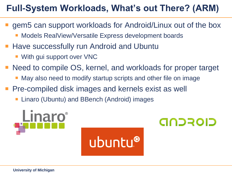#### **Full-System Workloads, What's out There? (ARM)**

- gem5 can support workloads for Android/Linux out of the box
	- Models RealView/Versatile Express development boards
- Have successfully run Android and Ubuntu
	- **With gui support over VNC**
- Need to compile OS, kernel, and workloads for proper target
	- **Nay also need to modify startup scripts and other file on image**
- Pre-compiled disk images and kernels exist as well
	- Linaro (Ubuntu) and BBench (Android) images

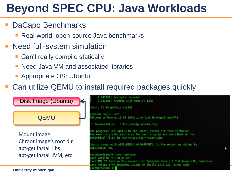## **Beyond SPEC CPU: Java Workloads**

#### DaCapo Benchmarks

- Real-world, open-source Java benchmarks
- Need full-system simulation
	- **Can't really compile statically**
	- Need Java VM and associated libraries
	- **Appropriate OS: Ubuntu**
- Can utilize QEMU to install required packages quickly

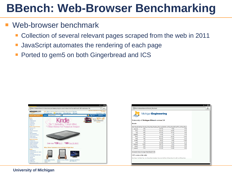#### Web-browser benchmark

- Collection of several relevant pages scraped from the web in 2011
- JavaScript automates the rendering of each page
- Ported to gem5 on both Gingerbread and ICS



|                |      | <b>MichiganEngineering</b>                                                                                 |       |       |  |
|----------------|------|------------------------------------------------------------------------------------------------------------|-------|-------|--|
|                |      |                                                                                                            |       |       |  |
|                |      | University of Michigan BBench version 2.0                                                                  |       |       |  |
|                |      |                                                                                                            |       |       |  |
| <b>Results</b> |      |                                                                                                            |       |       |  |
|                |      | Site Name Cold Start Time Avg Warm Page Rendering Time (ms) Std Dev of Warm Runs \$6Coeff Var of Warm Runs |       |       |  |
| amazon         | 169  | 145.75                                                                                                     | 7.85  | 5.39  |  |
| bbc            | 532  | 344.25                                                                                                     | 28.65 | 8.32  |  |
| cnn            | 469  | 417.00                                                                                                     | 19.34 | 4.64  |  |
| craigslist     | 109  | 87.50                                                                                                      | 4.15  | 4.75  |  |
| ebay           | 343  | 203.00                                                                                                     | 26.20 | 12.91 |  |
| espn           | 768  | 563.25                                                                                                     | 11.84 | 2.10  |  |
| google         | 57   | 38.25                                                                                                      | 4.09  | 10.68 |  |
| msn            | 774  | 534.00                                                                                                     | 14.59 | 2.73  |  |
| slashdot       | 2405 | 399.75                                                                                                     | 9.91  | 2.48  |  |
| twitter        | 281  | 331.00                                                                                                     | 20.86 | 6.30  |  |
|                | 574  | 474.00                                                                                                     | 32.69 | 6.90  |  |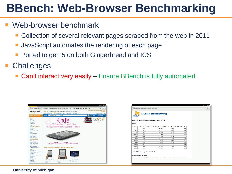#### Web-browser benchmark

- Collection of several relevant pages scraped from the web in 2011
- JavaScript automates the rendering of each page
- Ported to gem5 on both Gingerbread and ICS
- **Challenges** 
	- Can't interact very easily Ensure BBench is fully automated



|                |                           | <b>MichiganEngineering</b>                                                                                                                              |       |       |  |
|----------------|---------------------------|---------------------------------------------------------------------------------------------------------------------------------------------------------|-------|-------|--|
| <b>Results</b> |                           | University of Michigan BBench version 2.0                                                                                                               |       |       |  |
|                |                           | Site Name Cold Start Time Avg Warm Page Rendering Time (ms) Std Dev of Warm Runs 96Coeff Var of Warm Runs                                               |       |       |  |
| amazon         | 169                       | 145.75                                                                                                                                                  | 7.85  | 5.39  |  |
| bbc            | 532                       | 344.25                                                                                                                                                  | 28.65 | 8.32  |  |
| enn            | 469                       | 417.00                                                                                                                                                  | 19.34 | 464   |  |
| craigslist     | 109                       | 87.50                                                                                                                                                   | 4.15  | 4.75  |  |
| ebay           | 343                       | 203.00                                                                                                                                                  | 26.20 | 12.91 |  |
| espa           | 768                       | 563.25                                                                                                                                                  | 11.84 | 2.10  |  |
| google         | 57                        | 38.25                                                                                                                                                   | 4.09  | 10.68 |  |
| msn            | 774                       | 534.00                                                                                                                                                  | 14.59 | 2.73  |  |
| slashdot       | 2405                      | 399.75                                                                                                                                                  | 9.91  | 2.48  |  |
| twitter        | 281                       | 331.00                                                                                                                                                  | 20.86 | 6.30  |  |
| youtube        | 574                       | 474.00                                                                                                                                                  | 32.69 | 6.90  |  |
|                | CSV version of the table: | Geometric Mean of Average Warm Runs 252.69<br>Site Name Cold Start Time, Avg Warm Page Rendering Time (ms) Std Dev of Warm Runs %Coeff Var of Warm Runs |       |       |  |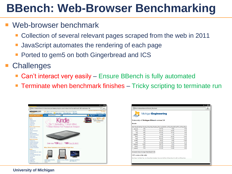#### Web-browser benchmark

- Collection of several relevant pages scraped from the web in 2011
- JavaScript automates the rendering of each page
- Ported to gem5 on both Gingerbread and ICS
- **Challenges** 
	- Can't interact very easily Ensure BBench is fully automated
	- Terminate when benchmark finishes Tricky scripting to terminate run



| <b>Results</b> |      | University of Michigan BBench version 2.0                                                                |       |       |  |  |  |
|----------------|------|----------------------------------------------------------------------------------------------------------|-------|-------|--|--|--|
|                |      | Site Name Cold Start Time Avg Warm Page Rendering Time (ms) Std Dev of Warm Runs %Coeff Var of Warm Runs |       |       |  |  |  |
| amazon         | 169  | 145.75                                                                                                   | 7.85  | 5.39  |  |  |  |
| bbc            | 532  | 344.25                                                                                                   | 28.65 | 8.32  |  |  |  |
| cnn            | 469  | 417.00                                                                                                   | 19.34 | 4.64  |  |  |  |
| craigslist     | 109  | 87.50                                                                                                    | 4.15  | 4.75  |  |  |  |
| ebay           | 343  | 203.00                                                                                                   | 26.20 | 12.91 |  |  |  |
| espn           | 768  | 563.25                                                                                                   | 11.84 | 2.10  |  |  |  |
| google         | 57   | 38.25                                                                                                    | 4.09  | 10.68 |  |  |  |
| msn            | 774  | 534.00                                                                                                   | 14.59 | 2.73  |  |  |  |
| slashdot       | 2405 | 399.75                                                                                                   | 9.91  | 2.48  |  |  |  |
| twitter        | 281  | 331.00                                                                                                   | 20.86 | 6.30  |  |  |  |
| youtube        | 574  | 474.00                                                                                                   | 32.69 | 6.90  |  |  |  |
|                |      |                                                                                                          |       |       |  |  |  |
|                |      | Geometric Mean of Average Warm Runs 252.69                                                               |       |       |  |  |  |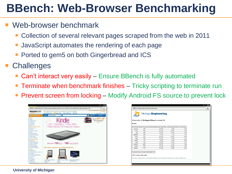#### Web-browser benchmark

- Collection of several relevant pages scraped from the web in 2011
- JavaScript automates the rendering of each page
- Ported to gem5 on both Gingerbread and ICS
- **Challenges** 
	- Can't interact very easily Ensure BBench is fully automated
	- Terminate when benchmark finishes Tricky scripting to terminate run
	- Prevent screen from locking Modify Android FS source to prevent lock



| <b>MichiganEngineering</b><br>University of Michigan BBench version 2.0<br><b>Results</b> |      |                                            |       |       |  |
|-------------------------------------------------------------------------------------------|------|--------------------------------------------|-------|-------|--|
|                                                                                           |      |                                            |       |       |  |
| amazon                                                                                    | 169  | 145.75                                     | 7.85  | 5.39  |  |
| bbc                                                                                       | 532  | 344.25                                     | 28.65 | 8.32  |  |
| cnn                                                                                       | 469  | 417.00                                     | 19.34 | 464   |  |
| craigslist                                                                                | 109  | 87,50                                      | 4.15  | 4.75  |  |
| ebay                                                                                      | 343  | 203.00                                     | 26.20 | 12.91 |  |
| espa                                                                                      | 768  | 563.25                                     | 11.84 | 2.10  |  |
| google                                                                                    | 57   | 38.25                                      | 4.09  | 10.68 |  |
| msn                                                                                       | 774  | 534.00                                     | 14.59 | 2.73  |  |
| slashdot                                                                                  | 2405 | 399.75                                     | 9.91  | 2.48  |  |
| twitter                                                                                   | 281  | 331.00                                     | 20.86 | 6.30  |  |
| youtube                                                                                   | 574  | 474.00                                     | 32.69 | 6.90  |  |
|                                                                                           |      | Geometric Mean of Average Warm Runs 252.69 |       |       |  |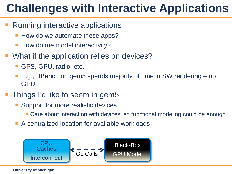#### 9 **Challenges with Interactive Applications**

- Running interactive applications
	- How do we automate these apps?
	- How do me model interactivity?
- What if the application relies on devices?
	- GPS, GPU, radio, etc.
	- E.g., BBench on gem5 spends majority of time in SW rendering no GPU
- Things I'd like to seem in gem5:
	- Support for more realistic devices
		- Care about interaction with devices, so functional modeling could be enough
	- A centralized location for available workloads

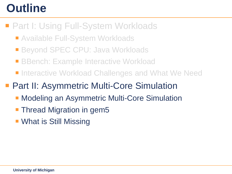## **Outline**

- **Part I: Using Full-System Workloads** 
	- Available Full-System Workloads
	- Beyond SPEC CPU: Java Workloads
	- **BBench: Example Interactive Workload**
	- Interactive Workload Challenges and What We Need
- Part II: Asymmetric Multi-Core Simulation
	- **Modeling an Asymmetric Multi-Core Simulation**
	- **Thread Migration in gem5**
	- **What is Still Missing**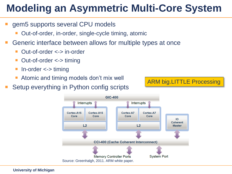#### **Modeling an Asymmetric Multi-Core System**

- gem5 supports several CPU models
	- Out-of-order, in-order, single-cycle timing, atomic
- Generic interface between allows for multiple types at once
	- Out-of-order <-> in-order
	- Out-of-order <-> timing
	- In-order <-> timing
	- Atomic and timing models don't mix well
- Setup everything in Python config scripts



ARM big.LITTLE Processing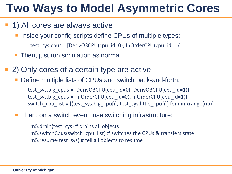# **Two Ways to Model Asymmetric Cores**

#### **1) All cores are always active**

- Inside your config scripts define CPUs of multiple types: test sys.cpus =  $[DerivO3CPU(cpu id=0), InOrderCPU(cpu id=1)]$
- Then, just run simulation as normal
- 2) Only cores of a certain type are active
	- Define multiple lists of CPUs and switch back-and-forth:

test sys.big  $cpus = [DerivO3CPU(cpu id=0), DerivO3CPU(cpu id=1)]$ test sys.big cpus =  $[InOrderCPU(cpu id=0), InOrderCPU(cpu id=1)]$ switch cpu list = [(test sys.big cpu[i], test sys.little cpu[i]) for i in xrange(np)]

Then, on a switch event, use switching infrastructure:

m5.drain(test\_sys) # drains all objects m5.switchCpus(switch\_cpu\_list) # switches the CPUs & transfers state m5.resume(test\_sys) # tell all objects to resume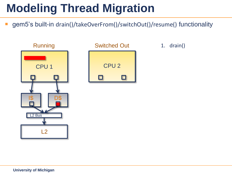■ gem5's built-in drain()/takeOverFrom()/switchOut()/resume() functionality



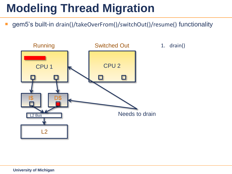■ gem5's built-in drain()/takeOverFrom()/switchOut()/resume() functionality



1. drain()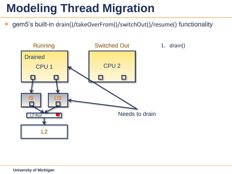■ gem5's built-in drain()/takeOverFrom()/switchOut()/resume() functionality



1. drain()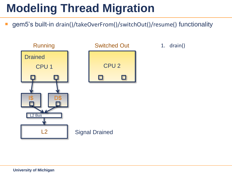■ gem5's built-in drain()/takeOverFrom()/switchOut()/resume() functionality

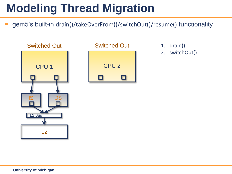■ gem5's built-in drain()/takeOverFrom()/switchOut()/resume() functionality





- 
- 2. switchOut()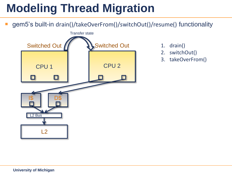gem5's built-in drain()/takeOverFrom()/switchOut()/resume() functionality



- 
- 2. switchOut()
- 3. takeOverFrom()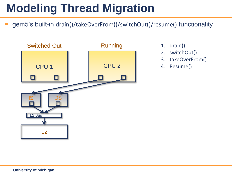gem5's built-in drain()/takeOverFrom()/switchOut()/resume() functionality



- 
- 2. switchOut()
- 3. takeOverFrom()
- 4. Resume()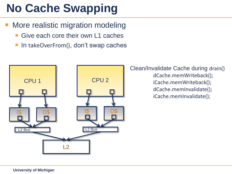# **No Cache Swapping**

- **More realistic migration modeling** 
	- Give each core their own L1 caches
	- In takeOverFrom(), don't swap caches

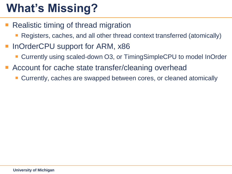# **What's Missing?**

- Realistic timing of thread migration
	- Registers, caches, and all other thread context transferred (atomically)
- InOrderCPU support for ARM, x86
	- Currently using scaled-down O3, or TimingSimpleCPU to model InOrder
- **Account for cache state transfer/cleaning overhead** 
	- Currently, caches are swapped between cores, or cleaned atomically